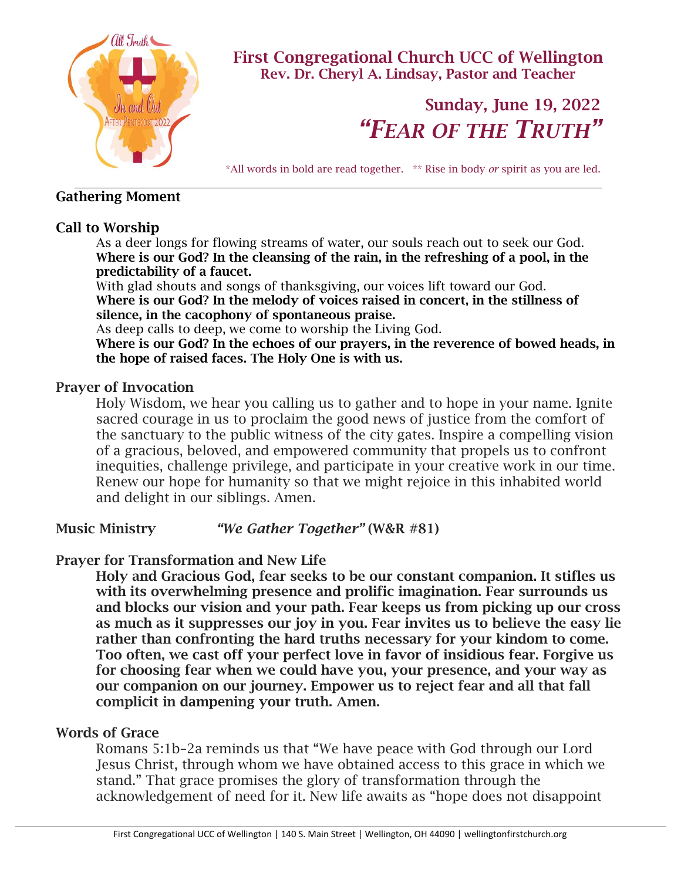

First Congregational Church UCC of Wellington Rev. Dr. Cheryl A. Lindsay, Pastor and Teacher

# Sunday, June 19, 2022 *"FEAR OF THE TRUTH"*

\*All words in bold are read together. \*\* Rise in body *or* spirit as you are led.

## Gathering Moment

# Call to Worship

As a deer longs for flowing streams of water, our souls reach out to seek our God. Where is our God? In the cleansing of the rain, in the refreshing of a pool, in the predictability of a faucet.

With glad shouts and songs of thanksgiving, our voices lift toward our God. Where is our God? In the melody of voices raised in concert, in the stillness of silence, in the cacophony of spontaneous praise.

As deep calls to deep, we come to worship the Living God.

Where is our God? In the echoes of our prayers, in the reverence of bowed heads, in the hope of raised faces. The Holy One is with us.

# Prayer of Invocation

Holy Wisdom, we hear you calling us to gather and to hope in your name. Ignite sacred courage in us to proclaim the good news of justice from the comfort of the sanctuary to the public witness of the city gates. Inspire a compelling vision of a gracious, beloved, and empowered community that propels us to confront inequities, challenge privilege, and participate in your creative work in our time. Renew our hope for humanity so that we might rejoice in this inhabited world and delight in our siblings. Amen.

Music Ministry *"We Gather Together"* (W&R #81)

# Prayer for Transformation and New Life

Holy and Gracious God, fear seeks to be our constant companion. It stifles us with its overwhelming presence and prolific imagination. Fear surrounds us and blocks our vision and your path. Fear keeps us from picking up our cross as much as it suppresses our joy in you. Fear invites us to believe the easy lie rather than confronting the hard truths necessary for your kindom to come. Too often, we cast off your perfect love in favor of insidious fear. Forgive us for choosing fear when we could have you, your presence, and your way as our companion on our journey. Empower us to reject fear and all that fall complicit in dampening your truth. Amen.

# Words of Grace

Romans 5:1b–2a reminds us that "We have peace with God through our Lord Jesus Christ, through whom we have obtained access to this grace in which we stand." That grace promises the glory of transformation through the acknowledgement of need for it. New life awaits as "hope does not disappoint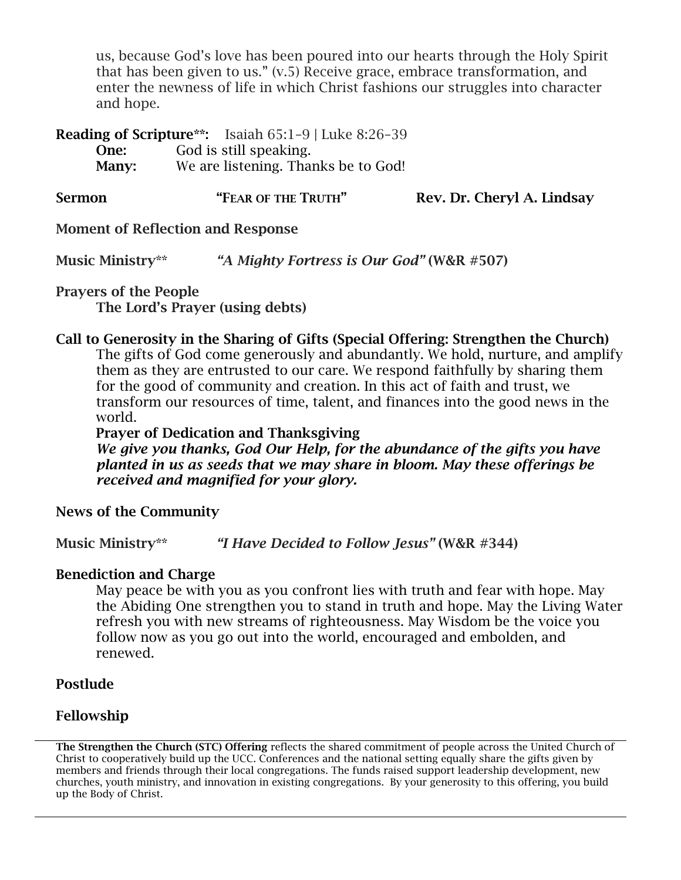us, because God's love has been poured into our hearts through the Holy Spirit that has been given to us." (v.5) Receive grace, embrace transformation, and enter the newness of life in which Christ fashions our struggles into character and hope.

Reading of Scripture\*\*: Isaiah 65:1–9 | Luke 8:26–39 One: God is still speaking. Many: We are listening. Thanks be to God!

Sermon "FEAR OF THE TRUTH" Rev. Dr. Cheryl A. Lindsay

## Moment of Reflection and Response

Music Ministry\*\* *"A Mighty Fortress is Our God"* (W&R #507)

Prayers of the People

The Lord's Prayer (using debts)

# Call to Generosity in the Sharing of Gifts (Special Offering: Strengthen the Church)

The gifts of God come generously and abundantly. We hold, nurture, and amplify them as they are entrusted to our care. We respond faithfully by sharing them for the good of community and creation. In this act of faith and trust, we transform our resources of time, talent, and finances into the good news in the world.

#### Prayer of Dedication and Thanksgiving

*We give you thanks, God Our Help, for the abundance of the gifts you have planted in us as seeds that we may share in bloom. May these offerings be received and magnified for your glory.*

## News of the Community

Music Ministry\*\* *"I Have Decided to Follow Jesus"* (W&R #344)

## Benediction and Charge

May peace be with you as you confront lies with truth and fear with hope. May the Abiding One strengthen you to stand in truth and hope. May the Living Water refresh you with new streams of righteousness. May Wisdom be the voice you follow now as you go out into the world, encouraged and embolden, and renewed.

## Postlude

## Fellowship

The Strengthen the Church (STC) Offering reflects the shared commitment of people across the United Church of Christ to cooperatively build up the UCC. Conferences and the national setting equally share the gifts given by members and friends through their local congregations. The funds raised support leadership development, new churches, youth ministry, and innovation in existing congregations. By your generosity to this offering, you build up the Body of Christ.